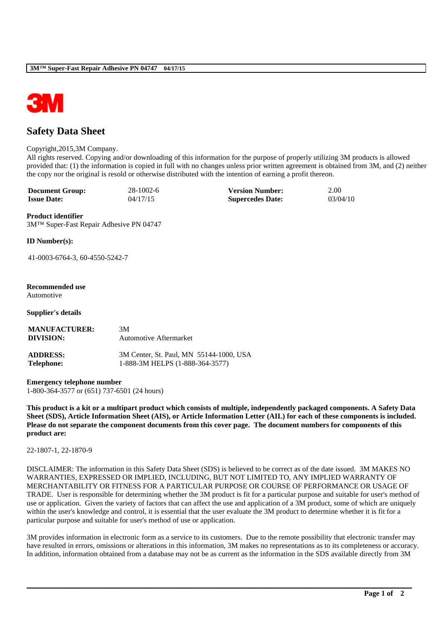

# **Safety Data Sheet**

#### Copyright,2015,3M Company.

All rights reserved. Copying and/or downloading of this information for the purpose of properly utilizing 3M products is allowed provided that: (1) the information is copied in full with no changes unless prior written agreement is obtained from 3M, and (2) neither the copy nor the original is resold or otherwise distributed with the intention of earning a profit thereon.

| <b>Document Group:</b> | $28-1002-6$ | <b>Version Number:</b>  | 2.00     |
|------------------------|-------------|-------------------------|----------|
| <b>Issue Date:</b>     | 04/17/15    | <b>Supercedes Date:</b> | 03/04/10 |

### **Product identifier**

3M™ Super-Fast Repair Adhesive PN 04747

**ID Number(s):**

41-0003-6764-3, 60-4550-5242-7

# **Recommended use**

Automotive

### **Supplier's details**

| <b>MANUFACTURER:</b> | 3M                                      |
|----------------------|-----------------------------------------|
| DIVISION:            | Automotive Aftermarket                  |
| <b>ADDRESS:</b>      | 3M Center, St. Paul, MN 55144-1000, USA |
| <b>Telephone:</b>    | 1-888-3M HELPS (1-888-364-3577)         |

**Emergency telephone number** 1-800-364-3577 or (651) 737-6501 (24 hours)

**This product is a kit or a multipart product which consists of multiple, independently packaged components. A Safety Data Sheet (SDS), Article Information Sheet (AIS), or Article Information Letter (AIL) for each of these components is included. Please do not separate the component documents from this cover page. The document numbers for components of this product are:** 

22-1807-1, 22-1870-9

DISCLAIMER: The information in this Safety Data Sheet (SDS) is believed to be correct as of the date issued. 3M MAKES NO WARRANTIES, EXPRESSED OR IMPLIED, INCLUDING, BUT NOT LIMITED TO, ANY IMPLIED WARRANTY OF MERCHANTABILITY OR FITNESS FOR A PARTICULAR PURPOSE OR COURSE OF PERFORMANCE OR USAGE OF TRADE. User is responsible for determining whether the 3M product is fit for a particular purpose and suitable for user's method of use or application. Given the variety of factors that can affect the use and application of a 3M product, some of which are uniquely within the user's knowledge and control, it is essential that the user evaluate the 3M product to determine whether it is fit for a particular purpose and suitable for user's method of use or application.

3M provides information in electronic form as a service to its customers. Due to the remote possibility that electronic transfer may have resulted in errors, omissions or alterations in this information, 3M makes no representations as to its completeness or accuracy. In addition, information obtained from a database may not be as current as the information in the SDS available directly from 3M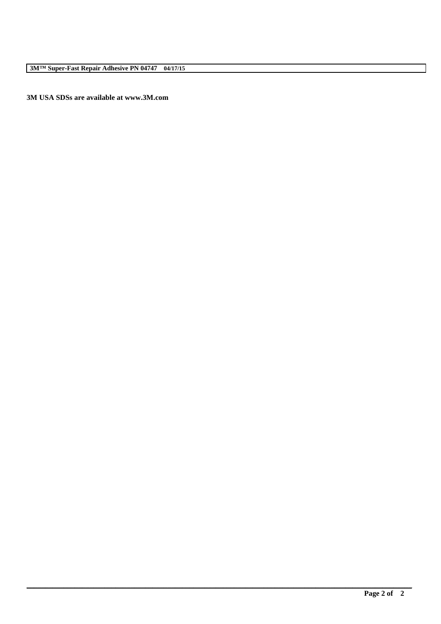**3M™ Super-Fast Repair Adhesive PN 04747 04/17/15**

**3M USA SDSs are available at www.3M.com**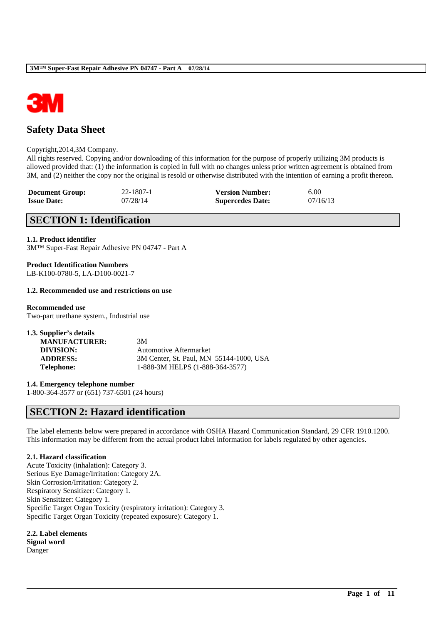

# **Safety Data Sheet**

### Copyright,2014,3M Company.

All rights reserved. Copying and/or downloading of this information for the purpose of properly utilizing 3M products is allowed provided that: (1) the information is copied in full with no changes unless prior written agreement is obtained from 3M, and (2) neither the copy nor the original is resold or otherwise distributed with the intention of earning a profit thereon.

| <b>Document Group:</b> | 22-1807-1 | <b>Version Number:</b>  | 6.00     |
|------------------------|-----------|-------------------------|----------|
| <b>Issue Date:</b>     | 07/28/14  | <b>Supercedes Date:</b> | 07/16/13 |

# **SECTION 1: Identification**

### **1.1. Product identifier**

3M™ Super-Fast Repair Adhesive PN 04747 - Part A

**Product Identification Numbers** LB-K100-0780-5, LA-D100-0021-7

### **1.2. Recommended use and restrictions on use**

### **Recommended use**

Two-part urethane system., Industrial use

| 3M                                      |
|-----------------------------------------|
| <b>Automotive Aftermarket</b>           |
| 3M Center, St. Paul, MN 55144-1000, USA |
| 1-888-3M HELPS (1-888-364-3577)         |
|                                         |

**1.4. Emergency telephone number**

1-800-364-3577 or (651) 737-6501 (24 hours)

# **SECTION 2: Hazard identification**

The label elements below were prepared in accordance with OSHA Hazard Communication Standard, 29 CFR 1910.1200. This information may be different from the actual product label information for labels regulated by other agencies.

\_\_\_\_\_\_\_\_\_\_\_\_\_\_\_\_\_\_\_\_\_\_\_\_\_\_\_\_\_\_\_\_\_\_\_\_\_\_\_\_\_\_\_\_\_\_\_\_\_\_\_\_\_\_\_\_\_\_\_\_\_\_\_\_\_\_\_\_\_\_\_\_\_\_\_\_\_\_\_\_\_\_\_\_\_\_\_\_\_\_

### **2.1. Hazard classification**

Acute Toxicity (inhalation): Category 3. Serious Eye Damage/Irritation: Category 2A. Skin Corrosion/Irritation: Category 2. Respiratory Sensitizer: Category 1. Skin Sensitizer: Category 1. Specific Target Organ Toxicity (respiratory irritation): Category 3. Specific Target Organ Toxicity (repeated exposure): Category 1.

**2.2. Label elements Signal word** Danger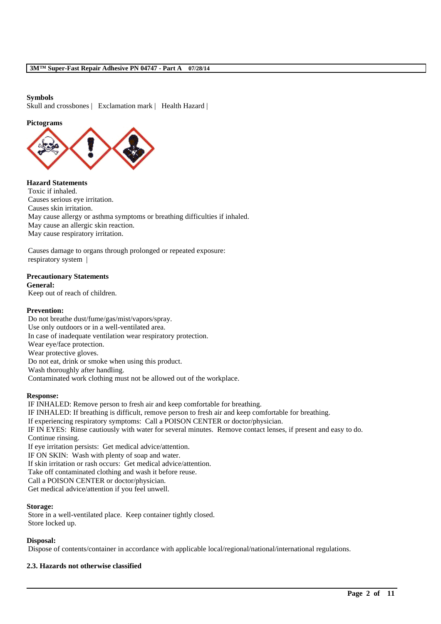### **Symbols**

Skull and crossbones | Exclamation mark | Health Hazard |

### **Pictograms**



**Hazard Statements** Toxic if inhaled. Causes serious eye irritation. Causes skin irritation. May cause allergy or asthma symptoms or breathing difficulties if inhaled. May cause an allergic skin reaction. May cause respiratory irritation.

Causes damage to organs through prolonged or repeated exposure: respiratory system |

### **Precautionary Statements**

**General:**

Keep out of reach of children.

### **Prevention:**

Do not breathe dust/fume/gas/mist/vapors/spray. Use only outdoors or in a well-ventilated area. In case of inadequate ventilation wear respiratory protection. Wear eye/face protection. Wear protective gloves. Do not eat, drink or smoke when using this product. Wash thoroughly after handling. Contaminated work clothing must not be allowed out of the workplace.

### **Response:**

IF INHALED: Remove person to fresh air and keep comfortable for breathing. IF INHALED: If breathing is difficult, remove person to fresh air and keep comfortable for breathing. If experiencing respiratory symptoms: Call a POISON CENTER or doctor/physician. IF IN EYES: Rinse cautiously with water for several minutes. Remove contact lenses, if present and easy to do. Continue rinsing. If eye irritation persists: Get medical advice/attention. IF ON SKIN: Wash with plenty of soap and water. If skin irritation or rash occurs: Get medical advice/attention. Take off contaminated clothing and wash it before reuse. Call a POISON CENTER or doctor/physician. Get medical advice/attention if you feel unwell.

### **Storage:**

Store in a well-ventilated place. Keep container tightly closed. Store locked up.

### **Disposal:**

Dispose of contents/container in accordance with applicable local/regional/national/international regulations.

\_\_\_\_\_\_\_\_\_\_\_\_\_\_\_\_\_\_\_\_\_\_\_\_\_\_\_\_\_\_\_\_\_\_\_\_\_\_\_\_\_\_\_\_\_\_\_\_\_\_\_\_\_\_\_\_\_\_\_\_\_\_\_\_\_\_\_\_\_\_\_\_\_\_\_\_\_\_\_\_\_\_\_\_\_\_\_\_\_\_

### **2.3. Hazards not otherwise classified**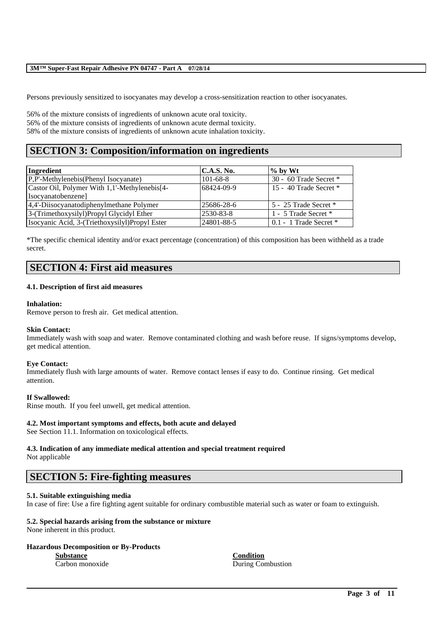Persons previously sensitized to isocyanates may develop a cross-sensitization reaction to other isocyanates.

56% of the mixture consists of ingredients of unknown acute oral toxicity. 56% of the mixture consists of ingredients of unknown acute dermal toxicity. 58% of the mixture consists of ingredients of unknown acute inhalation toxicity.

# **SECTION 3: Composition/information on ingredients**

| Ingredient                                                   | C.A.S. No.     | $\%$ by Wt                 |
|--------------------------------------------------------------|----------------|----------------------------|
| P,P'-Methylenebis(Phenyl Isocyanate)                         | $101 - 68 - 8$ | 30 - 60 Trade Secret $*$   |
| Castor Oil, Polymer With 1,1'-Methylenebis <sup>[4-1</sup> ] | 68424-09-9     | 15 - 40 Trade Secret $*$   |
| [Isocyanatobenzene]                                          |                |                            |
| 4,4'-Diisocyanatodiphenylmethane Polymer                     | 25686-28-6     | 5 - 25 Trade Secret $*$    |
| 3-(Trimethoxysilyl)Propyl Glycidyl Ether                     | 2530-83-8      | 1 - 5 Trade Secret *       |
| Isocyanic Acid, 3-(Triethoxysilyl)Propyl Ester               | 24801-88-5     | $0.1 - 1$ Trade Secret $*$ |

\*The specific chemical identity and/or exact percentage (concentration) of this composition has been withheld as a trade secret.

# **SECTION 4: First aid measures**

### **4.1. Description of first aid measures**

### **Inhalation:**

Remove person to fresh air. Get medical attention.

### **Skin Contact:**

Immediately wash with soap and water. Remove contaminated clothing and wash before reuse. If signs/symptoms develop, get medical attention.

### **Eye Contact:**

Immediately flush with large amounts of water. Remove contact lenses if easy to do. Continue rinsing. Get medical attention.

### **If Swallowed:**

Rinse mouth. If you feel unwell, get medical attention.

### **4.2. Most important symptoms and effects, both acute and delayed**

See Section 11.1. Information on toxicological effects.

# **4.3. Indication of any immediate medical attention and special treatment required**

Not applicable

# **SECTION 5: Fire-fighting measures**

### **5.1. Suitable extinguishing media**

In case of fire: Use a fire fighting agent suitable for ordinary combustible material such as water or foam to extinguish.

\_\_\_\_\_\_\_\_\_\_\_\_\_\_\_\_\_\_\_\_\_\_\_\_\_\_\_\_\_\_\_\_\_\_\_\_\_\_\_\_\_\_\_\_\_\_\_\_\_\_\_\_\_\_\_\_\_\_\_\_\_\_\_\_\_\_\_\_\_\_\_\_\_\_\_\_\_\_\_\_\_\_\_\_\_\_\_\_\_\_

# **5.2. Special hazards arising from the substance or mixture**

None inherent in this product.

### **Hazardous Decomposition or By-Products**

**Substance Condition**

Carbon monoxide During Combustion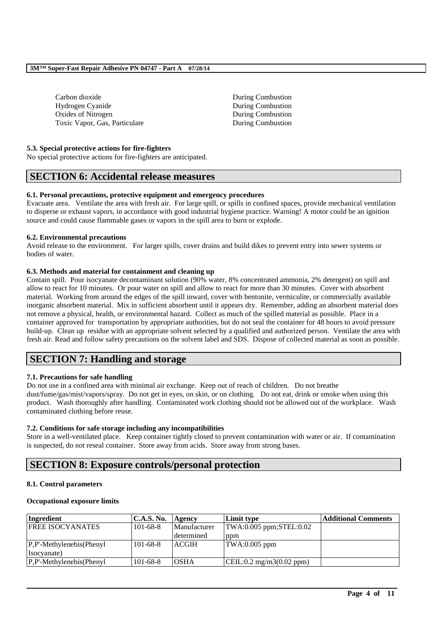| Carbon dioxide                | During Combustion |
|-------------------------------|-------------------|
| Hydrogen Cyanide              | During Combustion |
| Oxides of Nitrogen            | During Combustion |
| Toxic Vapor, Gas, Particulate | During Combustion |

### **5.3. Special protective actions for fire-fighters**

No special protective actions for fire-fighters are anticipated.

# **SECTION 6: Accidental release measures**

### **6.1. Personal precautions, protective equipment and emergency procedures**

Evacuate area. Ventilate the area with fresh air. For large spill, or spills in confined spaces, provide mechanical ventilation to disperse or exhaust vapors, in accordance with good industrial hygiene practice. Warning! A motor could be an ignition source and could cause flammable gases or vapors in the spill area to burn or explode.

### **6.2. Environmental precautions**

Avoid release to the environment. For larger spills, cover drains and build dikes to prevent entry into sewer systems or bodies of water.

### **6.3. Methods and material for containment and cleaning up**

Contain spill. Pour isocyanate decontaminant solution (90% water, 8% concentrated ammonia, 2% detergent) on spill and allow to react for 10 minutes. Or pour water on spill and allow to react for more than 30 minutes. Cover with absorbent material. Working from around the edges of the spill inward, cover with bentonite, vermiculite, or commercially available inorganic absorbent material. Mix in sufficient absorbent until it appears dry. Remember, adding an absorbent material does not remove a physical, health, or environmental hazard. Collect as much of the spilled material as possible. Place in a container approved for transportation by appropriate authorities, but do not seal the container for 48 hours to avoid pressure build-up. Clean up residue with an appropriate solvent selected by a qualified and authorized person. Ventilate the area with fresh air. Read and follow safety precautions on the solvent label and SDS. Dispose of collected material as soon as possible.

# **SECTION 7: Handling and storage**

### **7.1. Precautions for safe handling**

Do not use in a confined area with minimal air exchange. Keep out of reach of children. Do not breathe dust/fume/gas/mist/vapors/spray. Do not get in eyes, on skin, or on clothing. Do not eat, drink or smoke when using this product. Wash thoroughly after handling. Contaminated work clothing should not be allowed out of the workplace. Wash contaminated clothing before reuse.

### **7.2. Conditions for safe storage including any incompatibilities**

Store in a well-ventilated place. Keep container tightly closed to prevent contamination with water or air. If contamination is suspected, do not reseal container. Store away from acids. Store away from strong bases.

# **SECTION 8: Exposure controls/personal protection**

### **8.1. Control parameters**

### **Occupational exposure limits**

| Ingredient                   | <b>C.A.S. No.</b> | Agency       | Limit type               | <b>Additional Comments</b> |
|------------------------------|-------------------|--------------|--------------------------|----------------------------|
| <b>FREE ISOCYANATES</b>      | $101 - 68 - 8$    | Manufacturer | TWA:0.005 ppm;STEL:0.02  |                            |
|                              |                   | determined   | ppm                      |                            |
| $ P.P'-M$ ethylenebis(Phenyl | $101 - 68 - 8$    | <b>ACGIH</b> | TWA:0.005 ppm            |                            |
| Isocyanate)                  |                   |              |                          |                            |
| $P.P'$ -Methylenebis(Phenyl  | $101 - 68 - 8$    | <b>OSHA</b>  | CEIL:0.2 mg/m3(0.02 ppm) |                            |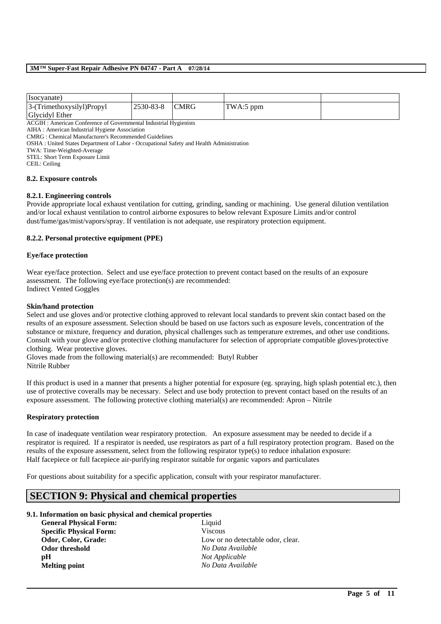| Isocyanate)                  |            |             |           |  |
|------------------------------|------------|-------------|-----------|--|
| $3$ -(Trimethoxysilyl)Propyl | 12530-83-8 | <b>CMRG</b> | TWA:5 ppm |  |
| <b>Glycidyl Ether</b>        |            |             |           |  |

ACGIH : American Conference of Governmental Industrial Hygienists

AIHA : American Industrial Hygiene Association

CMRG : Chemical Manufacturer's Recommended Guidelines

OSHA : United States Department of Labor - Occupational Safety and Health Administration

TWA: Time-Weighted-Average

STEL: Short Term Exposure Limit

CEIL: Ceiling

### **8.2. Exposure controls**

### **8.2.1. Engineering controls**

Provide appropriate local exhaust ventilation for cutting, grinding, sanding or machining. Use general dilution ventilation and/or local exhaust ventilation to control airborne exposures to below relevant Exposure Limits and/or control dust/fume/gas/mist/vapors/spray. If ventilation is not adequate, use respiratory protection equipment.

### **8.2.2. Personal protective equipment (PPE)**

### **Eye/face protection**

Wear eye/face protection. Select and use eye/face protection to prevent contact based on the results of an exposure assessment. The following eye/face protection(s) are recommended: Indirect Vented Goggles

# **Skin/hand protection**

Select and use gloves and/or protective clothing approved to relevant local standards to prevent skin contact based on the results of an exposure assessment. Selection should be based on use factors such as exposure levels, concentration of the substance or mixture, frequency and duration, physical challenges such as temperature extremes, and other use conditions. Consult with your glove and/or protective clothing manufacturer for selection of appropriate compatible gloves/protective clothing. Wear protective gloves.

Gloves made from the following material(s) are recommended: Butyl Rubber Nitrile Rubber

If this product is used in a manner that presents a higher potential for exposure (eg. spraying, high splash potential etc.), then use of protective coveralls may be necessary. Select and use body protection to prevent contact based on the results of an exposure assessment. The following protective clothing material(s) are recommended: Apron – Nitrile

### **Respiratory protection**

In case of inadequate ventilation wear respiratory protection. An exposure assessment may be needed to decide if a respirator is required. If a respirator is needed, use respirators as part of a full respiratory protection program. Based on the results of the exposure assessment, select from the following respirator type(s) to reduce inhalation exposure: Half facepiece or full facepiece air-purifying respirator suitable for organic vapors and particulates

\_\_\_\_\_\_\_\_\_\_\_\_\_\_\_\_\_\_\_\_\_\_\_\_\_\_\_\_\_\_\_\_\_\_\_\_\_\_\_\_\_\_\_\_\_\_\_\_\_\_\_\_\_\_\_\_\_\_\_\_\_\_\_\_\_\_\_\_\_\_\_\_\_\_\_\_\_\_\_\_\_\_\_\_\_\_\_\_\_\_

For questions about suitability for a specific application, consult with your respirator manufacturer.

# **SECTION 9: Physical and chemical properties**

### **9.1. Information on basic physical and chemical properties**

| <b>General Physical Form:</b>  | Liquid                            |
|--------------------------------|-----------------------------------|
| <b>Specific Physical Form:</b> | <b>Viscous</b>                    |
| Odor, Color, Grade:            | Low or no detectable odor, clear. |
| Odor threshold                 | No Data Available                 |
| pH                             | Not Applicable                    |
| <b>Melting point</b>           | No Data Available                 |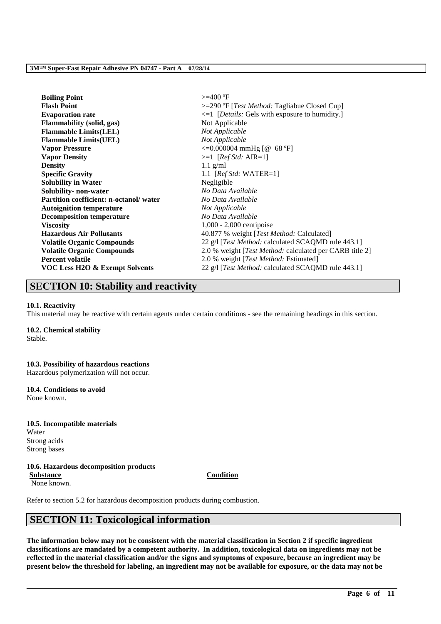| <b>Boiling Point</b>                   | $>=$ 400 °F                                                     |
|----------------------------------------|-----------------------------------------------------------------|
| <b>Flash Point</b>                     | >=290 °F [ <i>Test Method:</i> Tagliabue Closed Cup]            |
| <b>Evaporation rate</b>                | $\leq 1$ [ <i>Details:</i> Gels with exposure to humidity.]     |
| <b>Flammability</b> (solid, gas)       | Not Applicable                                                  |
| <b>Flammable Limits(LEL)</b>           | Not Applicable                                                  |
| <b>Flammable Limits(UEL)</b>           | Not Applicable                                                  |
| <b>Vapor Pressure</b>                  | $\leq 0.000004$ mmHg [@ 68 °F]                                  |
| <b>Vapor Density</b>                   | $>=1$ [ <i>Ref Std: AIR=1</i> ]                                 |
| <b>Density</b>                         | $1.1$ g/ml                                                      |
| <b>Specific Gravity</b>                | 1.1 [ $RefStd: WATER=1$ ]                                       |
| <b>Solubility in Water</b>             | Negligible                                                      |
| Solubility- non-water                  | No Data Available                                               |
| Partition coefficient: n-octanol/water | No Data Available                                               |
| <b>Autoignition temperature</b>        | Not Applicable                                                  |
| <b>Decomposition temperature</b>       | No Data Available                                               |
| <b>Viscosity</b>                       | $1,000 - 2,000$ centipoise                                      |
| <b>Hazardous Air Pollutants</b>        | 40.877 % weight [Test Method: Calculated]                       |
| <b>Volatile Organic Compounds</b>      | 22 g/l [ <i>Test Method:</i> calculated SCAQMD rule 443.1]      |
| <b>Volatile Organic Compounds</b>      | 2.0 % weight [ <i>Test Method:</i> calculated per CARB title 2] |
| <b>Percent volatile</b>                | 2.0 % weight [ <i>Test Method</i> : Estimated]                  |
| VOC Less H2O & Exempt Solvents         | 22 g/l [ <i>Test Method:</i> calculated SCAQMD rule 443.1]      |
|                                        |                                                                 |

# **SECTION 10: Stability and reactivity**

### **10.1. Reactivity**

This material may be reactive with certain agents under certain conditions - see the remaining headings in this section.

### **10.2. Chemical stability**

Stable.

**10.3. Possibility of hazardous reactions** Hazardous polymerization will not occur.

#### **10.4. Conditions to avoid** None known.

**10.5. Incompatible materials** Water Strong acids Strong bases

# **10.6. Hazardous decomposition products**

**Substance Condition**

None known.

Refer to section 5.2 for hazardous decomposition products during combustion.

# **SECTION 11: Toxicological information**

**The information below may not be consistent with the material classification in Section 2 if specific ingredient classifications are mandated by a competent authority. In addition, toxicological data on ingredients may not be reflected in the material classification and/or the signs and symptoms of exposure, because an ingredient may be present below the threshold for labeling, an ingredient may not be available for exposure, or the data may not be**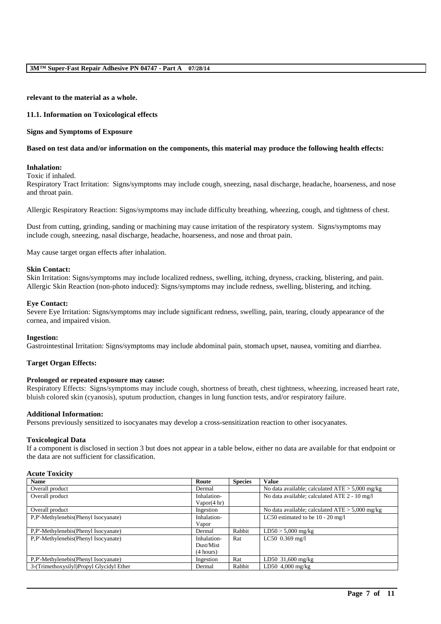### **relevant to the material as a whole.**

### **11.1. Information on Toxicological effects**

### **Signs and Symptoms of Exposure**

### **Based on test data and/or information on the components, this material may produce the following health effects:**

### **Inhalation:**

```
Toxic if inhaled.
```
Respiratory Tract Irritation: Signs/symptoms may include cough, sneezing, nasal discharge, headache, hoarseness, and nose and throat pain.

Allergic Respiratory Reaction: Signs/symptoms may include difficulty breathing, wheezing, cough, and tightness of chest.

Dust from cutting, grinding, sanding or machining may cause irritation of the respiratory system. Signs/symptoms may include cough, sneezing, nasal discharge, headache, hoarseness, and nose and throat pain.

May cause target organ effects after inhalation.

### **Skin Contact:**

Skin Irritation: Signs/symptoms may include localized redness, swelling, itching, dryness, cracking, blistering, and pain. Allergic Skin Reaction (non-photo induced): Signs/symptoms may include redness, swelling, blistering, and itching.

### **Eye Contact:**

Severe Eye Irritation: Signs/symptoms may include significant redness, swelling, pain, tearing, cloudy appearance of the cornea, and impaired vision.

### **Ingestion:**

Gastrointestinal Irritation: Signs/symptoms may include abdominal pain, stomach upset, nausea, vomiting and diarrhea.

### **Target Organ Effects:**

### **Prolonged or repeated exposure may cause:**

Respiratory Effects: Signs/symptoms may include cough, shortness of breath, chest tightness, wheezing, increased heart rate, bluish colored skin (cyanosis), sputum production, changes in lung function tests, and/or respiratory failure.

### **Additional Information:**

Persons previously sensitized to isocyanates may develop a cross-sensitization reaction to other isocyanates.

### **Toxicological Data**

If a component is disclosed in section 3 but does not appear in a table below, either no data are available for that endpoint or the data are not sufficient for classification.

### **Acute Toxicity**

| <b>Name</b>                              | Route                  | <b>Species</b> | <b>Value</b>                                      |
|------------------------------------------|------------------------|----------------|---------------------------------------------------|
| Overall product                          | Dermal                 |                | No data available; calculated $ATE > 5,000$ mg/kg |
| Overall product                          | Inhalation-            |                | No data available; calculated ATE 2 - 10 mg/l     |
|                                          | Vapor $(4 \text{ hr})$ |                |                                                   |
| Overall product                          | Ingestion              |                | No data available; calculated $ATE > 5,000$ mg/kg |
| P,P'-Methylenebis(Phenyl Isocyanate)     | Inhalation-            |                | LC50 estimated to be $10 - 20$ mg/l               |
|                                          | Vapor                  |                |                                                   |
| P,P'-Methylenebis(Phenyl Isocyanate)     | Dermal                 | Rabbit         | $LD50 > 5,000$ mg/kg                              |
| P,P'-Methylenebis(Phenyl Isocyanate)     | Inhalation-            | Rat            | LC50 0.369 mg/l                                   |
|                                          | Dust/Mist              |                |                                                   |
|                                          | (4 hours)              |                |                                                   |
| P,P'-Methylenebis(Phenyl Isocyanate)     | Ingestion              | Rat            | LD50 $31,600$ mg/kg                               |
| 3-(Trimethoxysilyl)Propyl Glycidyl Ether | Dermal                 | Rabbit         | LD50 $4,000 \text{ mg/kg}$                        |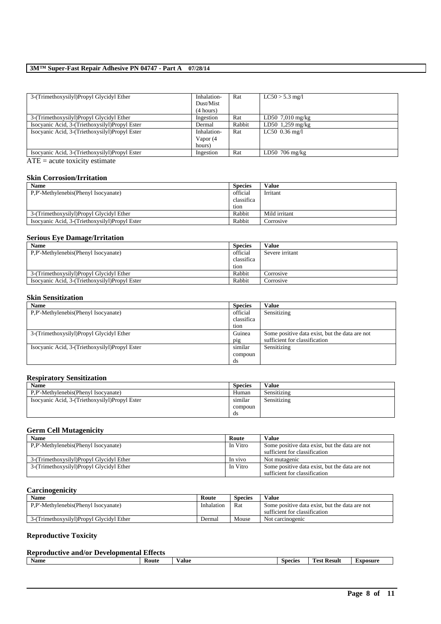| 3-(Trimethoxysilyl)Propyl Glycidyl Ether       | Inhalation- | Rat    | $LC50 > 5.3$ mg/l  |
|------------------------------------------------|-------------|--------|--------------------|
|                                                | Dust/Mist   |        |                    |
|                                                | (4 hours)   |        |                    |
| 3-(Trimethoxysilyl)Propyl Glycidyl Ether       | Ingestion   | Rat    | $LD50$ 7,010 mg/kg |
| Isocyanic Acid, 3-(Triethoxysilyl)Propyl Ester | Dermal      | Rabbit | $LD50$ 1,259 mg/kg |
| Isocyanic Acid, 3-(Triethoxysilyl)Propyl Ester | Inhalation- | Rat    | $LC50$ 0.36 mg/l   |
|                                                | Vapor (4    |        |                    |
|                                                | hours)      |        |                    |
| Isocyanic Acid, 3-(Triethoxysilyl)Propyl Ester | Ingestion   | Rat    | $LD50$ 706 mg/kg   |
| $ATE$ and to different distribution            |             |        |                    |

 $ATE = acute toxicity estimate$ 

### **Skin Corrosion/Irritation**

| Name                                           | <b>Species</b> | <b>Value</b>  |
|------------------------------------------------|----------------|---------------|
| P.P'-Methylenebis(Phenyl Isocyanate)           | official       | Irritant      |
|                                                | classifica     |               |
|                                                | tion           |               |
| 3-(Trimethoxysilyl)Propyl Glycidyl Ether       | Rabbit         | Mild irritant |
| Isocyanic Acid, 3-(Triethoxysilyl)Propyl Ester | Rabbit         | Corrosive     |

### **Serious Eye Damage/Irritation**

| <b>Name</b>                                    | <b>Species</b> | Value           |
|------------------------------------------------|----------------|-----------------|
| P.P'-Methylenebis(Phenyl Isocyanate)           | official       | Severe irritant |
|                                                | classifica     |                 |
|                                                | tion           |                 |
| 3-(Trimethoxysilyl)Propyl Glycidyl Ether       | Rabbit         | Corrosive       |
| Isocyanic Acid, 3-(Triethoxysilyl)Propyl Ester | Rabbit         | Corrosive       |

### **Skin Sensitization**

| <b>Name</b>                                    | <b>Species</b> | Value                                          |
|------------------------------------------------|----------------|------------------------------------------------|
| P,P'-Methylenebis(Phenyl Isocyanate)           | official       | Sensitizing                                    |
|                                                | classifica     |                                                |
|                                                | tion           |                                                |
| 3-(Trimethoxysilyl)Propyl Glycidyl Ether       | Guinea         | Some positive data exist, but the data are not |
|                                                | pig            | sufficient for classification                  |
| Isocyanic Acid, 3-(Triethoxysilyl)Propyl Ester | similar        | Sensitizing                                    |
|                                                | compoun        |                                                |
|                                                | ds             |                                                |

### **Respiratory Sensitization**

| <b>Name</b>                                    | <b>Species</b> | Value       |
|------------------------------------------------|----------------|-------------|
| P.P'-Methylenebis(Phenyl Isocyanate)           | Human          | Sensitizing |
| Isocyanic Acid, 3-(Triethoxysilyl)Propyl Ester | similar        | Sensitizing |
|                                                | compoun        |             |
|                                                | ds             |             |

# **Germ Cell Mutagenicity**

| <b>Name</b>                              | Route    | Value                                          |
|------------------------------------------|----------|------------------------------------------------|
| P.P'-Methylenebis(Phenyl Isocyanate)     | In Vitro | Some positive data exist, but the data are not |
|                                          |          | sufficient for classification                  |
| 3-(Trimethoxysilyl)Propyl Glycidyl Ether | In vivo  | Not mutagenic                                  |
| 3-(Trimethoxysilyl)Propyl Glycidyl Ether | In Vitro | Some positive data exist, but the data are not |
|                                          |          | sufficient for classification                  |

### **Carcinogenicity**

| Name                                    | Route      | Species | Value                                          |
|-----------------------------------------|------------|---------|------------------------------------------------|
| P.P'-Methylenebis(Phenyl Isocyanate)    | Inhalation | Rat     | Some positive data exist, but the data are not |
|                                         |            |         | sufficient for classification                  |
| -(Trimethoxysilyl)Propyl Glycidyl Ether | Dermal     | Mouse   | Not carcinogenic                               |

### **Reproductive Toxicity**

### **Reproductive and/or Developmental Effects**

| <b>Name</b> | Route | /alue | Species | m<br><b>Result</b><br>. est | Exposure |
|-------------|-------|-------|---------|-----------------------------|----------|
|             |       |       |         |                             |          |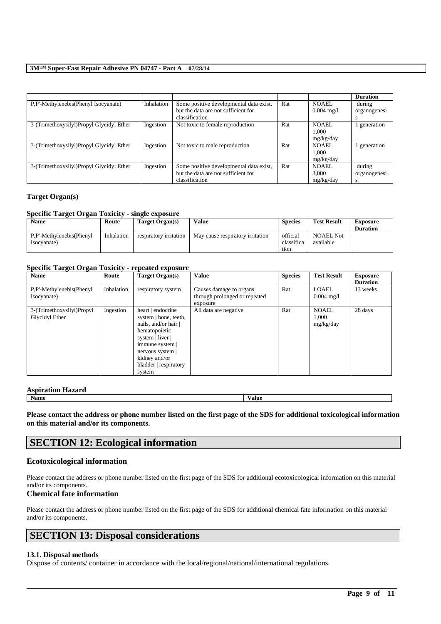|                                          |            |                                         |     |                      | <b>Duration</b> |
|------------------------------------------|------------|-----------------------------------------|-----|----------------------|-----------------|
| P,P'-Methylenebis(Phenyl Isocyanate)     | Inhalation | Some positive developmental data exist, | Rat | NOAEL.               | during          |
|                                          |            | but the data are not sufficient for     |     | $0.004 \text{ mg}/1$ | organogenesi    |
|                                          |            | classification                          |     |                      | s               |
| 3-(Trimethoxysilyl)Propyl Glycidyl Ether | Ingestion  | Not toxic to female reproduction        | Rat | <b>NOAEL</b>         | generation      |
|                                          |            |                                         |     | 1.000                |                 |
|                                          |            |                                         |     | mg/kg/day            |                 |
| 3-(Trimethoxysilyl)Propyl Glycidyl Ether | Ingestion  | Not toxic to male reproduction          | Rat | NOAEL.               | generation      |
|                                          |            |                                         |     | 1.000                |                 |
|                                          |            |                                         |     | mg/kg/day            |                 |
| 3-(Trimethoxysilyl)Propyl Glycidyl Ether | Ingestion  | Some positive developmental data exist, | Rat | <b>NOAEL</b>         | during          |
|                                          |            | but the data are not sufficient for     |     | 3.000                | organogenesi    |
|                                          |            | classification                          |     | mg/kg/day            | S               |

### **Target Organ(s)**

### **Specific Target Organ Toxicity - single exposure**

| Name                                    | Route      | Target Organ(s)        | Value                            | <b>Species</b>                 | <b>Test Result</b>            | Exposure<br><b>Duration</b> |
|-----------------------------------------|------------|------------------------|----------------------------------|--------------------------------|-------------------------------|-----------------------------|
| P.P'-Methylenebis(Phenyl<br>(Isocyanate | Inhalation | respiratory irritation | May cause respiratory irritation | official<br>classifica<br>tion | <b>NOAEL Not</b><br>available |                             |

### **Specific Target Organ Toxicity - repeated exposure**

| <b>Name</b>                                 | Route      | Target Organ(s)                                                                                                                                                                                | <b>Value</b>                                                         | <b>Species</b> | <b>Test Result</b>                   | <b>Exposure</b> |
|---------------------------------------------|------------|------------------------------------------------------------------------------------------------------------------------------------------------------------------------------------------------|----------------------------------------------------------------------|----------------|--------------------------------------|-----------------|
|                                             |            |                                                                                                                                                                                                |                                                                      |                |                                      | <b>Duration</b> |
| P,P'-Methylenebis(Phenyl<br>Isocyanate)     | Inhalation | respiratory system                                                                                                                                                                             | Causes damage to organs<br>through prolonged or repeated<br>exposure | Rat            | <b>LOAEL</b><br>$0.004 \text{ mg}/1$ | 13 weeks        |
| 3-(Trimethoxysilyl)Propyl<br>Glycidyl Ether | Ingestion  | heart   endocrine<br>system   bone, teeth,<br>nails, and/or hair<br>hematopoietic<br>system   liver  <br>immune system  <br>nervous system<br>kidney and/or<br>bladder   respiratory<br>system | All data are negative                                                | Rat            | <b>NOAEL</b><br>1.000<br>mg/kg/day   | 28 days         |

#### **Aspiration Hazard Name Value**

**Please contact the address or phone number listed on the first page of the SDS for additional toxicological information on this material and/or its components.**

# **SECTION 12: Ecological information**

### **Ecotoxicological information**

Please contact the address or phone number listed on the first page of the SDS for additional ecotoxicological information on this material and/or its components.

### **Chemical fate information**

Please contact the address or phone number listed on the first page of the SDS for additional chemical fate information on this material and/or its components.

\_\_\_\_\_\_\_\_\_\_\_\_\_\_\_\_\_\_\_\_\_\_\_\_\_\_\_\_\_\_\_\_\_\_\_\_\_\_\_\_\_\_\_\_\_\_\_\_\_\_\_\_\_\_\_\_\_\_\_\_\_\_\_\_\_\_\_\_\_\_\_\_\_\_\_\_\_\_\_\_\_\_\_\_\_\_\_\_\_\_

# **SECTION 13: Disposal considerations**

### **13.1. Disposal methods**

Dispose of contents/ container in accordance with the local/regional/national/international regulations.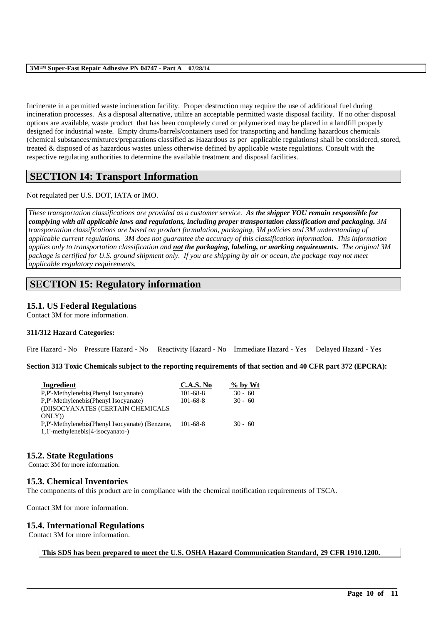Incinerate in a permitted waste incineration facility. Proper destruction may require the use of additional fuel during incineration processes. As a disposal alternative, utilize an acceptable permitted waste disposal facility. If no other disposal options are available, waste product that has been completely cured or polymerized may be placed in a landfill properly designed for industrial waste. Empty drums/barrels/containers used for transporting and handling hazardous chemicals (chemical substances/mixtures/preparations classified as Hazardous as per applicable regulations) shall be considered, stored, treated & disposed of as hazardous wastes unless otherwise defined by applicable waste regulations. Consult with the respective regulating authorities to determine the available treatment and disposal facilities.

# **SECTION 14: Transport Information**

### Not regulated per U.S. DOT, IATA or IMO.

*These transportation classifications are provided as a customer service. As the shipper YOU remain responsible for complying with all applicable laws and regulations, including proper transportation classification and packaging. 3M transportation classifications are based on product formulation, packaging, 3M policies and 3M understanding of applicable current regulations. 3M does not guarantee the accuracy of this classification information. This information applies only to transportation classification and not the packaging, labeling, or marking requirements. The original 3M package is certified for U.S. ground shipment only. If you are shipping by air or ocean, the package may not meet applicable regulatory requirements.* 

# **SECTION 15: Regulatory information**

### **15.1. US Federal Regulations**

Contact 3M for more information.

### **311/312 Hazard Categories:**

Fire Hazard - No Pressure Hazard - No Reactivity Hazard - No Immediate Hazard - Yes Delayed Hazard - Yes

**Section 313 Toxic Chemicals subject to the reporting requirements of that section and 40 CFR part 372 (EPCRA):**

| Ingredient                                     | C.A.S. No      | $\%$ by Wt |
|------------------------------------------------|----------------|------------|
| P,P'-Methylenebis(Phenyl Isocyanate)           | $101 - 68 - 8$ | $30 - 60$  |
| P,P'-Methylenebis(Phenyl Isocyanate)           | $101 - 68 - 8$ | $30 - 60$  |
| (DIISOCYANATES (CERTAIN CHEMICALS              |                |            |
| (ONLY)                                         |                |            |
| P.P'-Methylenebis(Phenyl Isocyanate) (Benzene, | 101-68-8       | $30 - 60$  |
| 1,1'-methylenebis[4-isocyanato-)               |                |            |

### **15.2. State Regulations**

Contact 3M for more information.

### **15.3. Chemical Inventories**

The components of this product are in compliance with the chemical notification requirements of TSCA.

Contact 3M for more information.

### **15.4. International Regulations**

Contact 3M for more information.

**This SDS has been prepared to meet the U.S. OSHA Hazard Communication Standard, 29 CFR 1910.1200.**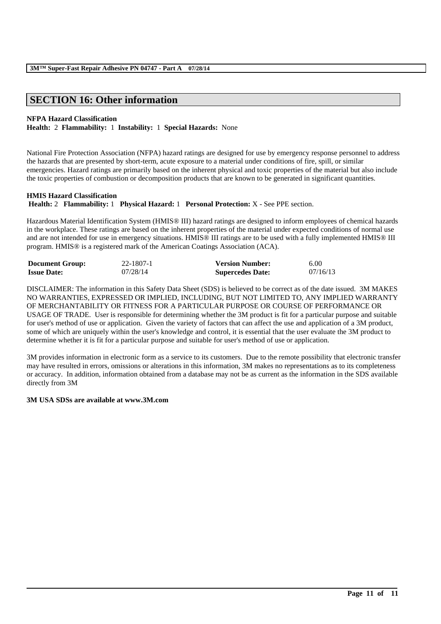# **SECTION 16: Other information**

### **NFPA Hazard Classification**

**Health:** 2 **Flammability:** 1 **Instability:** 1 **Special Hazards:** None

National Fire Protection Association (NFPA) hazard ratings are designed for use by emergency response personnel to address the hazards that are presented by short-term, acute exposure to a material under conditions of fire, spill, or similar emergencies. Hazard ratings are primarily based on the inherent physical and toxic properties of the material but also include the toxic properties of combustion or decomposition products that are known to be generated in significant quantities.

### **HMIS Hazard Classification**

**Health:** 2 **Flammability:** 1 **Physical Hazard:** 1 **Personal Protection:** X - See PPE section.

Hazardous Material Identification System (HMIS® III) hazard ratings are designed to inform employees of chemical hazards in the workplace. These ratings are based on the inherent properties of the material under expected conditions of normal use and are not intended for use in emergency situations. HMIS® III ratings are to be used with a fully implemented HMIS® III program. HMIS® is a registered mark of the American Coatings Association (ACA).

| <b>Document Group:</b> | 22-1807-1 | <b>Version Number:</b>  | 6.00     |
|------------------------|-----------|-------------------------|----------|
| <b>Issue Date:</b>     | 07/28/14  | <b>Supercedes Date:</b> | 07/16/13 |

DISCLAIMER: The information in this Safety Data Sheet (SDS) is believed to be correct as of the date issued. 3M MAKES NO WARRANTIES, EXPRESSED OR IMPLIED, INCLUDING, BUT NOT LIMITED TO, ANY IMPLIED WARRANTY OF MERCHANTABILITY OR FITNESS FOR A PARTICULAR PURPOSE OR COURSE OF PERFORMANCE OR USAGE OF TRADE. User is responsible for determining whether the 3M product is fit for a particular purpose and suitable for user's method of use or application. Given the variety of factors that can affect the use and application of a 3M product, some of which are uniquely within the user's knowledge and control, it is essential that the user evaluate the 3M product to determine whether it is fit for a particular purpose and suitable for user's method of use or application.

3M provides information in electronic form as a service to its customers. Due to the remote possibility that electronic transfer may have resulted in errors, omissions or alterations in this information, 3M makes no representations as to its completeness or accuracy. In addition, information obtained from a database may not be as current as the information in the SDS available directly from 3M

\_\_\_\_\_\_\_\_\_\_\_\_\_\_\_\_\_\_\_\_\_\_\_\_\_\_\_\_\_\_\_\_\_\_\_\_\_\_\_\_\_\_\_\_\_\_\_\_\_\_\_\_\_\_\_\_\_\_\_\_\_\_\_\_\_\_\_\_\_\_\_\_\_\_\_\_\_\_\_\_\_\_\_\_\_\_\_\_\_\_

### **3M USA SDSs are available at www.3M.com**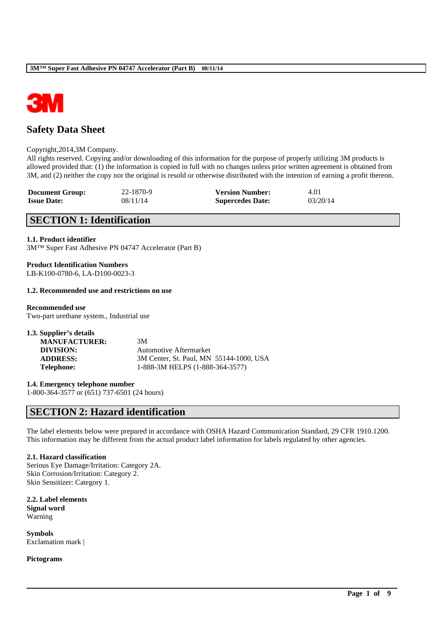

# **Safety Data Sheet**

### Copyright,2014,3M Company.

All rights reserved. Copying and/or downloading of this information for the purpose of properly utilizing 3M products is allowed provided that: (1) the information is copied in full with no changes unless prior written agreement is obtained from 3M, and (2) neither the copy nor the original is resold or otherwise distributed with the intention of earning a profit thereon.

| <b>Document Group:</b> | 22-1870-9 | <b>Version Number:</b>  | 4.01     |
|------------------------|-----------|-------------------------|----------|
| <b>Issue Date:</b>     | 08/11/14  | <b>Supercedes Date:</b> | 03/20/14 |

# **SECTION 1: Identification**

### **1.1. Product identifier**

3M™ Super Fast Adhesive PN 04747 Accelerator (Part B)

**Product Identification Numbers** LB-K100-0780-6, LA-D100-0023-3

### **1.2. Recommended use and restrictions on use**

### **Recommended use**

Two-part urethane system., Industrial use

| 1.3. Supplier's details |                                         |
|-------------------------|-----------------------------------------|
| <b>MANUFACTURER:</b>    | 3M                                      |
| DIVISION:               | Automotive Aftermarket                  |
| <b>ADDRESS:</b>         | 3M Center, St. Paul, MN 55144-1000, USA |
| Telephone:              | 1-888-3M HELPS (1-888-364-3577)         |

**1.4. Emergency telephone number**

1-800-364-3577 or (651) 737-6501 (24 hours)

# **SECTION 2: Hazard identification**

The label elements below were prepared in accordance with OSHA Hazard Communication Standard, 29 CFR 1910.1200. This information may be different from the actual product label information for labels regulated by other agencies.

\_\_\_\_\_\_\_\_\_\_\_\_\_\_\_\_\_\_\_\_\_\_\_\_\_\_\_\_\_\_\_\_\_\_\_\_\_\_\_\_\_\_\_\_\_\_\_\_\_\_\_\_\_\_\_\_\_\_\_\_\_\_\_\_\_\_\_\_\_\_\_\_\_\_\_\_\_\_\_\_\_\_\_\_\_\_\_\_\_\_

### **2.1. Hazard classification**

Serious Eye Damage/Irritation: Category 2A. Skin Corrosion/Irritation: Category 2. Skin Sensitizer: Category 1.

**2.2. Label elements Signal word** Warning

**Symbols** Exclamation mark |

**Pictograms**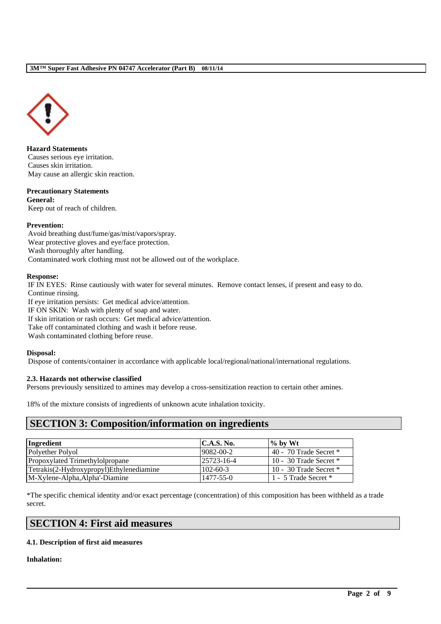

**Hazard Statements** Causes serious eye irritation. Causes skin irritation. May cause an allergic skin reaction.

### **Precautionary Statements General:**

Keep out of reach of children.

### **Prevention:**

Avoid breathing dust/fume/gas/mist/vapors/spray. Wear protective gloves and eye/face protection. Wash thoroughly after handling. Contaminated work clothing must not be allowed out of the workplace.

### **Response:**

IF IN EYES: Rinse cautiously with water for several minutes. Remove contact lenses, if present and easy to do. Continue rinsing.

If eye irritation persists: Get medical advice/attention.

IF ON SKIN: Wash with plenty of soap and water.

If skin irritation or rash occurs: Get medical advice/attention.

Take off contaminated clothing and wash it before reuse.

Wash contaminated clothing before reuse.

### **Disposal:**

Dispose of contents/container in accordance with applicable local/regional/national/international regulations.

### **2.3. Hazards not otherwise classified**

Persons previously sensitized to amines may develop a cross-sensitization reaction to certain other amines.

18% of the mixture consists of ingredients of unknown acute inhalation toxicity.

# **SECTION 3: Composition/information on ingredients**

| Ingredient                               | $\mathbf{C}$ . A.S. No. | $\%$ by Wt                 |
|------------------------------------------|-------------------------|----------------------------|
| Polvether Polvol                         | $9082 - 00 - 2$         | 40 - 70 Trade Secret $*$   |
| Propoxylated Trimethylolpropane          | $ 25723 - 16 - 4 $      | $10 - 30$ Trade Secret $*$ |
| Tetrakis(2-Hydroxypropyl)Ethylenediamine | $102 - 60 - 3$          | 10 - 30 Trade Secret $*$   |
| M-Xylene-Alpha, Alpha'-Diamine           | 1477-55-0               | 1 - 5 Trade Secret *       |

\*The specific chemical identity and/or exact percentage (concentration) of this composition has been withheld as a trade secret.

\_\_\_\_\_\_\_\_\_\_\_\_\_\_\_\_\_\_\_\_\_\_\_\_\_\_\_\_\_\_\_\_\_\_\_\_\_\_\_\_\_\_\_\_\_\_\_\_\_\_\_\_\_\_\_\_\_\_\_\_\_\_\_\_\_\_\_\_\_\_\_\_\_\_\_\_\_\_\_\_\_\_\_\_\_\_\_\_\_\_

# **SECTION 4: First aid measures**

### **4.1. Description of first aid measures**

### **Inhalation:**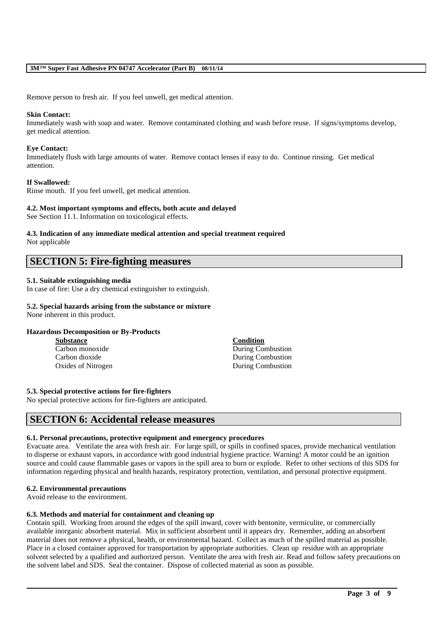Remove person to fresh air. If you feel unwell, get medical attention.

### **Skin Contact:**

Immediately wash with soap and water. Remove contaminated clothing and wash before reuse. If signs/symptoms develop, get medical attention.

### **Eye Contact:**

Immediately flush with large amounts of water. Remove contact lenses if easy to do. Continue rinsing. Get medical attention.

### **If Swallowed:**

Rinse mouth. If you feel unwell, get medical attention.

### **4.2. Most important symptoms and effects, both acute and delayed**

See Section 11.1. Information on toxicological effects.

# **4.3. Indication of any immediate medical attention and special treatment required**

Not applicable

# **SECTION 5: Fire-fighting measures**

### **5.1. Suitable extinguishing media**

In case of fire: Use a dry chemical extinguisher to extinguish.

# **5.2. Special hazards arising from the substance or mixture**

None inherent in this product.

### **Hazardous Decomposition or By-Products**

| <b>Substance</b>   | <b>Condition</b>  |
|--------------------|-------------------|
| Carbon monoxide    | During Combustion |
| Carbon dioxide     | During Combustion |
| Oxides of Nitrogen | During Combustion |

### **5.3. Special protective actions for fire-fighters**

No special protective actions for fire-fighters are anticipated.

# **SECTION 6: Accidental release measures**

### **6.1. Personal precautions, protective equipment and emergency procedures**

Evacuate area. Ventilate the area with fresh air. For large spill, or spills in confined spaces, provide mechanical ventilation to disperse or exhaust vapors, in accordance with good industrial hygiene practice. Warning! A motor could be an ignition source and could cause flammable gases or vapors in the spill area to burn or explode. Refer to other sections of this SDS for information regarding physical and health hazards, respiratory protection, ventilation, and personal protective equipment.

### **6.2. Environmental precautions**

Avoid release to the environment.

### **6.3. Methods and material for containment and cleaning up**

Contain spill. Working from around the edges of the spill inward, cover with bentonite, vermiculite, or commercially available inorganic absorbent material. Mix in sufficient absorbent until it appears dry. Remember, adding an absorbent material does not remove a physical, health, or environmental hazard. Collect as much of the spilled material as possible. Place in a closed container approved for transportation by appropriate authorities. Clean up residue with an appropriate solvent selected by a qualified and authorized person. Ventilate the area with fresh air. Read and follow safety precautions on the solvent label and SDS. Seal the container. Dispose of collected material as soon as possible.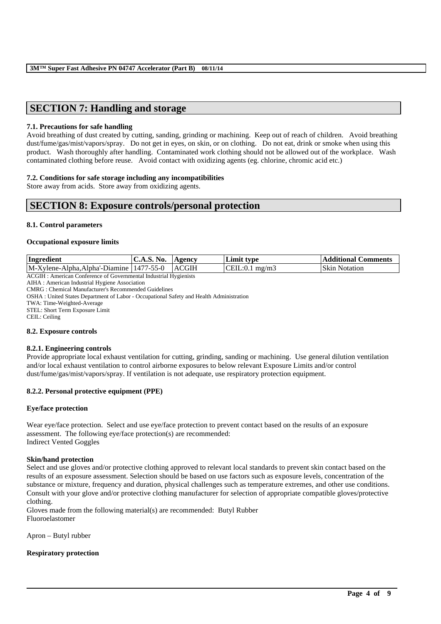# **SECTION 7: Handling and storage**

### **7.1. Precautions for safe handling**

Avoid breathing of dust created by cutting, sanding, grinding or machining. Keep out of reach of children. Avoid breathing dust/fume/gas/mist/vapors/spray. Do not get in eyes, on skin, or on clothing. Do not eat, drink or smoke when using this product. Wash thoroughly after handling. Contaminated work clothing should not be allowed out of the workplace. Wash contaminated clothing before reuse. Avoid contact with oxidizing agents (eg. chlorine, chromic acid etc.)

### **7.2. Conditions for safe storage including any incompatibilities**

Store away from acids. Store away from oxidizing agents.

# **SECTION 8: Exposure controls/personal protection**

### **8.1. Control parameters**

### **Occupational exposure limits**

| Ingredient                                | C.A.S. No. | Agency       | Limit type       | <b>Additional Comments</b> |
|-------------------------------------------|------------|--------------|------------------|----------------------------|
| M-Xvlene-Alpha.Alpha'-Diamine   1477-55-0 |            | <b>ACGIH</b> | $CEIL:0.1$ mg/m3 | <b>Skin Notation</b>       |
| $\sim$ $\sim$ $\sim$ $\sim$ $\sim$ $\sim$ |            |              |                  |                            |

ACGIH : American Conference of Governmental Industrial Hygienists

AIHA : American Industrial Hygiene Association CMRG : Chemical Manufacturer's Recommended Guidelines

OSHA : United States Department of Labor - Occupational Safety and Health Administration

TWA: Time-Weighted-Average

STEL: Short Term Exposure Limit

CEIL: Ceiling

### **8.2. Exposure controls**

### **8.2.1. Engineering controls**

Provide appropriate local exhaust ventilation for cutting, grinding, sanding or machining. Use general dilution ventilation and/or local exhaust ventilation to control airborne exposures to below relevant Exposure Limits and/or control dust/fume/gas/mist/vapors/spray. If ventilation is not adequate, use respiratory protection equipment.

### **8.2.2. Personal protective equipment (PPE)**

### **Eye/face protection**

Wear eye/face protection. Select and use eye/face protection to prevent contact based on the results of an exposure assessment. The following eye/face protection(s) are recommended: Indirect Vented Goggles

### **Skin/hand protection**

Select and use gloves and/or protective clothing approved to relevant local standards to prevent skin contact based on the results of an exposure assessment. Selection should be based on use factors such as exposure levels, concentration of the substance or mixture, frequency and duration, physical challenges such as temperature extremes, and other use conditions. Consult with your glove and/or protective clothing manufacturer for selection of appropriate compatible gloves/protective clothing.

\_\_\_\_\_\_\_\_\_\_\_\_\_\_\_\_\_\_\_\_\_\_\_\_\_\_\_\_\_\_\_\_\_\_\_\_\_\_\_\_\_\_\_\_\_\_\_\_\_\_\_\_\_\_\_\_\_\_\_\_\_\_\_\_\_\_\_\_\_\_\_\_\_\_\_\_\_\_\_\_\_\_\_\_\_\_\_\_\_\_

Gloves made from the following material(s) are recommended: Butyl Rubber Fluoroelastomer

Apron – Butyl rubber

**Respiratory protection**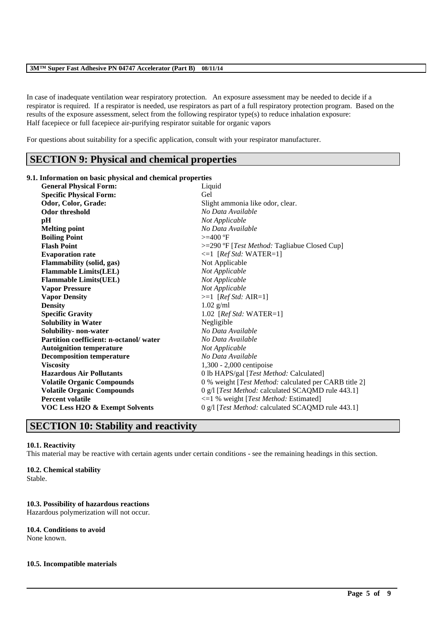In case of inadequate ventilation wear respiratory protection. An exposure assessment may be needed to decide if a respirator is required. If a respirator is needed, use respirators as part of a full respiratory protection program. Based on the results of the exposure assessment, select from the following respirator type(s) to reduce inhalation exposure: Half facepiece or full facepiece air-purifying respirator suitable for organic vapors

For questions about suitability for a specific application, consult with your respirator manufacturer.

# **SECTION 9: Physical and chemical properties**

**9.1. Information on basic physical and chemical properties**

| <b>General Physical Form:</b>             | Liquid                                                |
|-------------------------------------------|-------------------------------------------------------|
| <b>Specific Physical Form:</b>            | Gel                                                   |
| Odor, Color, Grade:                       | Slight ammonia like odor, clear.                      |
| <b>Odor threshold</b>                     | No Data Available                                     |
| pH                                        | Not Applicable                                        |
| <b>Melting point</b>                      | No Data Available                                     |
| <b>Boiling Point</b>                      | $>=$ 400 $\textdegree$ F                              |
| <b>Flash Point</b>                        | >=290 °F [ <i>Test Method</i> : Tagliabue Closed Cup] |
| <b>Evaporation rate</b>                   | $\leq 1$ [ <i>Ref Std:</i> WATER=1]                   |
| Flammability (solid, gas)                 | Not Applicable                                        |
| <b>Flammable Limits(LEL)</b>              | Not Applicable                                        |
| <b>Flammable Limits(UEL)</b>              | Not Applicable                                        |
| <b>Vapor Pressure</b>                     | Not Applicable                                        |
| <b>Vapor Density</b>                      | $>=1$ [Ref Std: AIR=1]                                |
| <b>Density</b>                            | $1.02$ g/ml                                           |
| <b>Specific Gravity</b>                   | 1.02 [ $RefStd: WATER=1$ ]                            |
| <b>Solubility in Water</b>                | Negligible                                            |
| Solubility- non-water                     | No Data Available                                     |
| Partition coefficient: n-octanol/water    | No Data Available                                     |
| <b>Autoignition temperature</b>           | Not Applicable                                        |
| <b>Decomposition temperature</b>          | No Data Available                                     |
| <b>Viscosity</b>                          | $1,300 - 2,000$ centipoise                            |
| <b>Hazardous Air Pollutants</b>           | 0 lb HAPS/gal [Test Method: Calculated]               |
| <b>Volatile Organic Compounds</b>         | 0 % weight [Test Method: calculated per CARB title 2] |
| <b>Volatile Organic Compounds</b>         | 0 g/l [Test Method: calculated SCAQMD rule 443.1]     |
| <b>Percent volatile</b>                   | <=1 % weight [Test Method: Estimated]                 |
| <b>VOC Less H2O &amp; Exempt Solvents</b> | 0 g/l [Test Method: calculated SCAQMD rule 443.1]     |

# **SECTION 10: Stability and reactivity**

### **10.1. Reactivity**

This material may be reactive with certain agents under certain conditions - see the remaining headings in this section.

\_\_\_\_\_\_\_\_\_\_\_\_\_\_\_\_\_\_\_\_\_\_\_\_\_\_\_\_\_\_\_\_\_\_\_\_\_\_\_\_\_\_\_\_\_\_\_\_\_\_\_\_\_\_\_\_\_\_\_\_\_\_\_\_\_\_\_\_\_\_\_\_\_\_\_\_\_\_\_\_\_\_\_\_\_\_\_\_\_\_

### **10.2. Chemical stability**

Stable.

### **10.3. Possibility of hazardous reactions**

Hazardous polymerization will not occur.

### **10.4. Conditions to avoid**

None known.

### **10.5. Incompatible materials**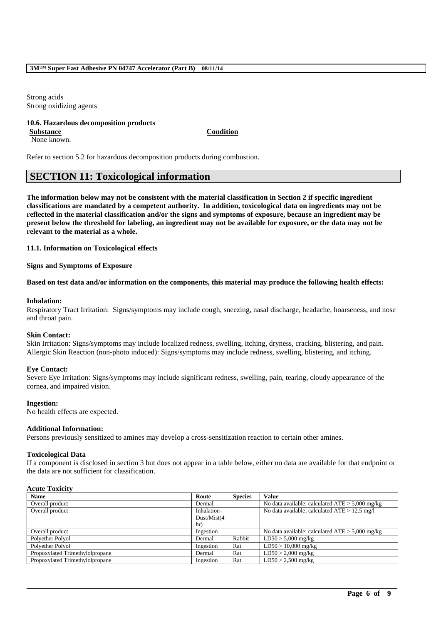Strong acids Strong oxidizing agents

### **10.6. Hazardous decomposition products**

None known.

**Substance Condition**

Refer to section 5.2 for hazardous decomposition products during combustion.

# **SECTION 11: Toxicological information**

**The information below may not be consistent with the material classification in Section 2 if specific ingredient classifications are mandated by a competent authority. In addition, toxicological data on ingredients may not be reflected in the material classification and/or the signs and symptoms of exposure, because an ingredient may be present below the threshold for labeling, an ingredient may not be available for exposure, or the data may not be relevant to the material as a whole.**

**11.1. Information on Toxicological effects**

**Signs and Symptoms of Exposure**

**Based on test data and/or information on the components, this material may produce the following health effects:**

### **Inhalation:**

Respiratory Tract Irritation: Signs/symptoms may include cough, sneezing, nasal discharge, headache, hoarseness, and nose and throat pain.

### **Skin Contact:**

Skin Irritation: Signs/symptoms may include localized redness, swelling, itching, dryness, cracking, blistering, and pain. Allergic Skin Reaction (non-photo induced): Signs/symptoms may include redness, swelling, blistering, and itching.

### **Eye Contact:**

Severe Eye Irritation: Signs/symptoms may include significant redness, swelling, pain, tearing, cloudy appearance of the cornea, and impaired vision.

### **Ingestion:**

No health effects are expected.

### **Additional Information:**

Persons previously sensitized to amines may develop a cross-sensitization reaction to certain other amines.

### **Toxicological Data**

If a component is disclosed in section 3 but does not appear in a table below, either no data are available for that endpoint or the data are not sufficient for classification.

### **Acute Toxicity**

| <b>Name</b>                     | Route       | <b>Species</b> | <b>Value</b>                                      |
|---------------------------------|-------------|----------------|---------------------------------------------------|
| Overall product                 | Dermal      |                | No data available; calculated $ATE > 5,000$ mg/kg |
| Overall product                 | Inhalation- |                | No data available; calculated $ATE > 12.5$ mg/l   |
|                                 | Dust/Mist(4 |                |                                                   |
|                                 | hr          |                |                                                   |
| Overall product                 | Ingestion   |                | No data available; calculated $ATE > 5,000$ mg/kg |
| Polyether Polyol                | Dermal      | Rabbit         | $LD50 > 5,000$ mg/kg                              |
| Polyether Polyol                | Ingestion   | Rat            | $LD50 > 10,000$ mg/kg                             |
| Propoxylated Trimethylolpropane | Dermal      | Rat            | $LD50 > 2,000$ mg/kg                              |
| Propoxylated Trimethylolpropane | Ingestion   | Rat            | $LD50 > 2,500$ mg/kg                              |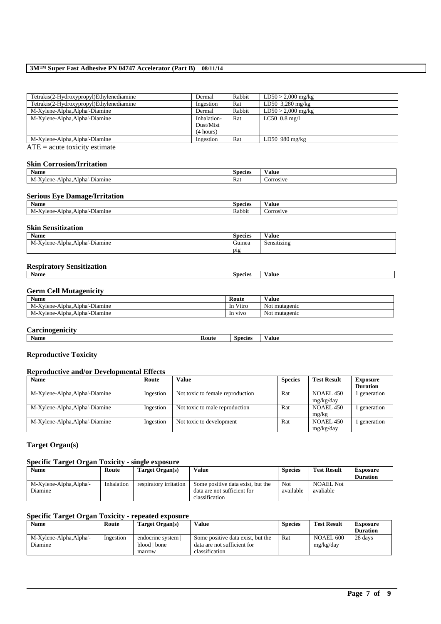| Tetrakis(2-Hydroxypropyl)Ethylenediamine | Dermal      | Rabbit | $LD50 > 2,000$ mg/kg |
|------------------------------------------|-------------|--------|----------------------|
| Tetrakis(2-Hydroxypropyl)Ethylenediamine | Ingestion   | Rat    | LD50 $3,280$ mg/kg   |
| M-Xylene-Alpha, Alpha'-Diamine           | Dermal      | Rabbit | $LD50 > 2,000$ mg/kg |
| M-Xylene-Alpha, Alpha'-Diamine           | Inhalation- | Rat    | LC50 $0.8$ mg/l      |
|                                          | Dust/Mist   |        |                      |
|                                          | (4 hours)   |        |                      |
| M-Xylene-Alpha.Alpha'-Diamine            | Ingestion   | Rat    | LD50 $980$ mg/kg     |

 $\overline{ATE}$  = acute toxicity estimate

#### **Skin Corrosion/Irritation**

| <b>Name</b>                                 | Species  | 'alue     |
|---------------------------------------------|----------|-----------|
| -<br>Alpha<br>Alpha.<br>-Diamine<br>.viene- | –<br>Rat | .orrosive |

### **Serious Eye Damage/Irritation**

| <b>Name</b>                                         | <b>Species</b> | ′alu€            |
|-----------------------------------------------------|----------------|------------------|
| -<br>-<br>°∨lene<br>Alpha<br>Diamine<br>Alpha<br>M- | Rabbit         | <b>Corrosive</b> |

### **Skin Sensitization**

| <b>Name</b>                           | $\sim$<br><b>Species</b>           | $-1$<br>⁄ alue |
|---------------------------------------|------------------------------------|----------------|
| -Alpha.Alpha'-Diamine<br>Xvlene-<br>M | $\overline{\phantom{a}}$<br>Guinea | Sensitizing    |
|                                       | pig                                |                |

### **Respiratory Sensitization**

| Name | Species | /alue |
|------|---------|-------|
|      |         |       |

### **Germ Cell Mutagenicity**

| Name                          | Route        | Value                          |
|-------------------------------|--------------|--------------------------------|
| M-Xylene-Alpha.Alpha'-Diamine | Vitro<br>-In | : mutagenic<br>Not             |
| M-Xylene-Alpha.Alpha'-Diamine | In vivo      | $\sim$ $\sim$<br>Not mutagenic |

### **Carcinogenicity**

| <b>The State State</b><br>⁄ alue<br><b>Route</b><br><b>Name</b><br><b>Species</b> |
|-----------------------------------------------------------------------------------|
|-----------------------------------------------------------------------------------|

### **Reproductive Toxicity**

### **Reproductive and/or Developmental Effects**

| <b>Name</b>                    | Route     | Value                            | <b>Species</b> | <b>Test Result</b> | <b>Exposure</b> |
|--------------------------------|-----------|----------------------------------|----------------|--------------------|-----------------|
|                                |           |                                  |                |                    | <b>Duration</b> |
| M-Xylene-Alpha, Alpha'-Diamine | Ingestion | Not toxic to female reproduction | Rat            | NOAEL 450          | generation      |
|                                |           |                                  |                | mg/kg/day          |                 |
| M-Xylene-Alpha, Alpha'-Diamine | Ingestion | Not toxic to male reproduction   | Rat            | <b>NOAEL 450</b>   | generation      |
|                                |           |                                  |                | mg/kg              |                 |
| M-Xylene-Alpha, Alpha'-Diamine | Ingestion | Not toxic to development         | Rat            | NOAEL 450          | generation      |
|                                |           |                                  |                | mg/kg/day          |                 |

### **Target Organ(s)**

### **Specific Target Organ Toxicity - single exposure**

| <b>Name</b>                       | Route      | Target Organ(s)        | Value                                                                              | <b>Species</b>   | <b>Test Result</b>            | <b>Exposure</b><br><b>Duration</b> |
|-----------------------------------|------------|------------------------|------------------------------------------------------------------------------------|------------------|-------------------------------|------------------------------------|
| M-Xylene-Alpha.Alpha'-<br>Diamine | Inhalation | respiratory irritation | Some positive data exist, but the<br>data are not sufficient for<br>classification | Not<br>available | <b>NOAEL Not</b><br>avaliable |                                    |

### **Specific Target Organ Toxicity - repeated exposure**

| <b>Name</b>            | Route     | Target Organ(s)  | Value                             | <b>Species</b> | <b>Test Result</b> | Exposure        |
|------------------------|-----------|------------------|-----------------------------------|----------------|--------------------|-----------------|
|                        |           |                  |                                   |                |                    | <b>Duration</b> |
| M-Xylene-Alpha.Alpha'- | Ingestion | endocrine system | Some positive data exist, but the | Rat            | NOAEL 600          | 28 days         |
| Diamine                |           | blood   bone     | data are not sufficient for       |                | mg/kg/day          |                 |
|                        |           | marrow           | classification                    |                |                    |                 |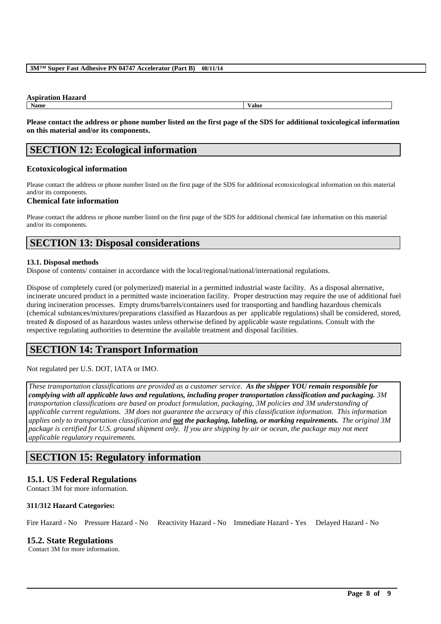### **Aspiration Hazard**

**Name Value**

**Please contact the address or phone number listed on the first page of the SDS for additional toxicological information on this material and/or its components.**

# **SECTION 12: Ecological information**

### **Ecotoxicological information**

Please contact the address or phone number listed on the first page of the SDS for additional ecotoxicological information on this material and/or its components.

### **Chemical fate information**

Please contact the address or phone number listed on the first page of the SDS for additional chemical fate information on this material and/or its components.

# **SECTION 13: Disposal considerations**

### **13.1. Disposal methods**

Dispose of contents/ container in accordance with the local/regional/national/international regulations.

Dispose of completely cured (or polymerized) material in a permitted industrial waste facility. As a disposal alternative, incinerate uncured product in a permitted waste incineration facility. Proper destruction may require the use of additional fuel during incineration processes. Empty drums/barrels/containers used for transporting and handling hazardous chemicals (chemical substances/mixtures/preparations classified as Hazardous as per applicable regulations) shall be considered, stored, treated & disposed of as hazardous wastes unless otherwise defined by applicable waste regulations. Consult with the respective regulating authorities to determine the available treatment and disposal facilities.

# **SECTION 14: Transport Information**

Not regulated per U.S. DOT, IATA or IMO.

*These transportation classifications are provided as a customer service. As the shipper YOU remain responsible for complying with all applicable laws and regulations, including proper transportation classification and packaging. 3M transportation classifications are based on product formulation, packaging, 3M policies and 3M understanding of applicable current regulations. 3M does not guarantee the accuracy of this classification information. This information applies only to transportation classification and not the packaging, labeling, or marking requirements. The original 3M package is certified for U.S. ground shipment only. If you are shipping by air or ocean, the package may not meet applicable regulatory requirements.* 

# **SECTION 15: Regulatory information**

### **15.1. US Federal Regulations**

Contact 3M for more information.

### **311/312 Hazard Categories:**

| Fire Hazard - No Pressure Hazard - No Reactivity Hazard - No Immediate Hazard - Yes Delaved Hazard - No |  |  |  |  |
|---------------------------------------------------------------------------------------------------------|--|--|--|--|
|---------------------------------------------------------------------------------------------------------|--|--|--|--|

\_\_\_\_\_\_\_\_\_\_\_\_\_\_\_\_\_\_\_\_\_\_\_\_\_\_\_\_\_\_\_\_\_\_\_\_\_\_\_\_\_\_\_\_\_\_\_\_\_\_\_\_\_\_\_\_\_\_\_\_\_\_\_\_\_\_\_\_\_\_\_\_\_\_\_\_\_\_\_\_\_\_\_\_\_\_\_\_\_\_

# **15.2. State Regulations**

Contact 3M for more information.